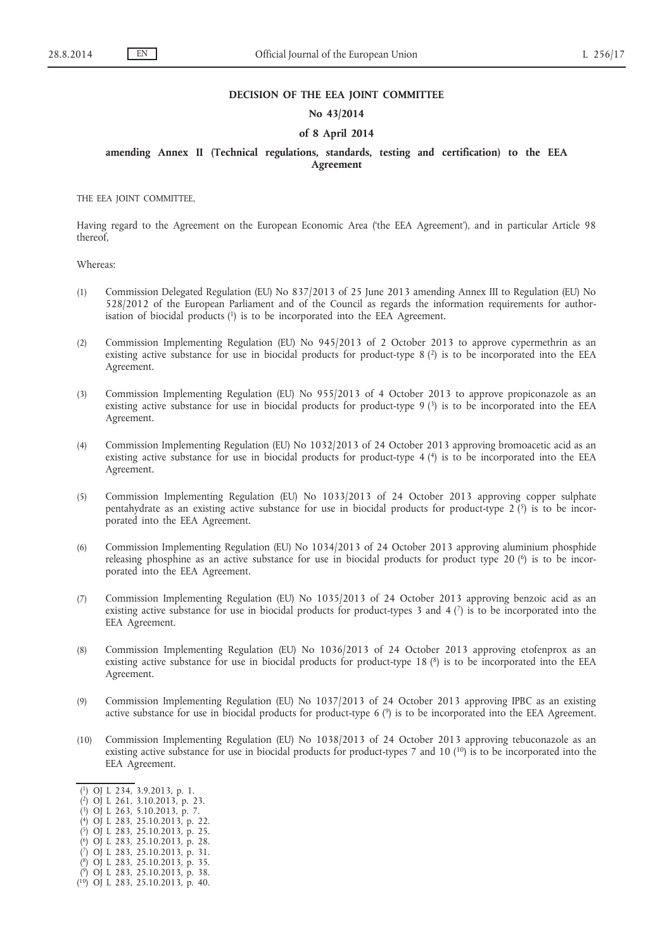### **DECISION OF THE EEA JOINT COMMITTEE**

## **No 43/2014**

# **of 8 April 2014**

# **amending Annex II (Technical regulations, standards, testing and certification) to the EEA Agreement**

THE EEA JOINT COMMITTEE,

Having regard to the Agreement on the European Economic Area ('the EEA Agreement'), and in particular Article 98 thereof,

Whereas:

- (1) Commission Delegated Regulation (EU) No 837/2013 of 25 June 2013 amending Annex III to Regulation (EU) No 528/2012 of the European Parliament and of the Council as regards the information requirements for authorisation of biocidal products  $(1)$  is to be incorporated into the EEA Agreement.
- (2) Commission Implementing Regulation (EU) No 945/2013 of 2 October 2013 to approve cypermethrin as an existing active substance for use in biocidal products for product-type 8 (2) is to be incorporated into the EEA Agreement.
- (3) Commission Implementing Regulation (EU) No 955/2013 of 4 October 2013 to approve propiconazole as an existing active substance for use in biocidal products for product-type  $9$  ( $3$ ) is to be incorporated into the EEA Agreement.
- (4) Commission Implementing Regulation (EU) No 1032/2013 of 24 October 2013 approving bromoacetic acid as an existing active substance for use in biocidal products for product-type  $4$  ( $4$ ) is to be incorporated into the EEA Agreement.
- (5) Commission Implementing Regulation (EU) No 1033/2013 of 24 October 2013 approving copper sulphate pentahydrate as an existing active substance for use in biocidal products for product-type  $2\binom{5}{2}$  is to be incorporated into the EEA Agreement.
- (6) Commission Implementing Regulation (EU) No 1034/2013 of 24 October 2013 approving aluminium phosphide releasing phosphine as an active substance for use in biocidal products for product type 20 (6) is to be incorporated into the EEA Agreement.
- (7) Commission Implementing Regulation (EU) No 1035/2013 of 24 October 2013 approving benzoic acid as an existing active substance for use in biocidal products for product-types 3 and 4  $(7)$  is to be incorporated into the EEA Agreement.
- (8) Commission Implementing Regulation (EU) No 1036/2013 of 24 October 2013 approving etofenprox as an existing active substance for use in biocidal products for product-type 18 (<sup>8</sup>) is to be incorporated into the EEA Agreement.
- (9) Commission Implementing Regulation (EU) No 1037/2013 of 24 October 2013 approving IPBC as an existing active substance for use in biocidal products for product-type 6 (9) is to be incorporated into the EEA Agreement.
- (10) Commission Implementing Regulation (EU) No 1038/2013 of 24 October 2013 approving tebuconazole as an existing active substance for use in biocidal products for product-types 7 and 10 (<sup>10</sup>) is to be incorporated into the EEA Agreement.

- ( 5) OJ L 283, 25.10.2013, p. 25.
- ( 6) OJ L 283, 25.10.2013, p. 28.

( 9) OJ L 283, 25.10.2013, p. 38.

<sup>(</sup> 1) OJ L 234, 3.9.2013, p. 1.

<sup>(</sup> 2) OJ L 261, 3.10.2013, p. 23.

<sup>(</sup> 3) OJ L 263, 5.10.2013, p. 7.

<sup>(</sup> 4) OJ L 283, 25.10.2013, p. 22.

<sup>(</sup> 7) OJ L 283, 25.10.2013, p. 31. ( 8) OJ L 283, 25.10.2013, p. 35.

<sup>(</sup> 10) OJ L 283, 25.10.2013, p. 40.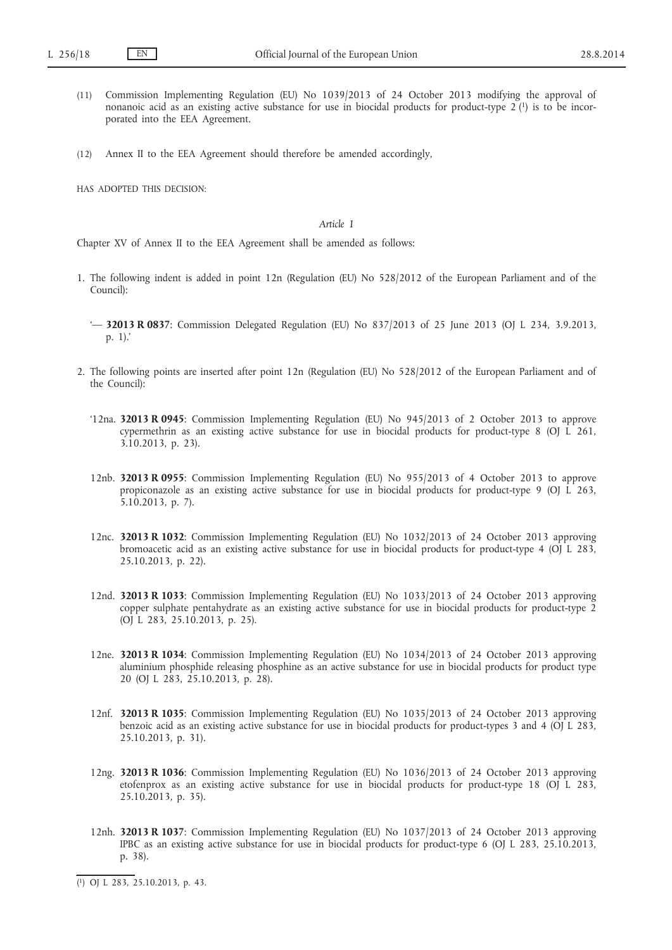- (11) Commission Implementing Regulation (EU) No 1039/2013 of 24 October 2013 modifying the approval of nonanoic acid as an existing active substance for use in biocidal products for product-type  $2(1)$  is to be incorporated into the EEA Agreement.
- (12) Annex II to the EEA Agreement should therefore be amended accordingly,

HAS ADOPTED THIS DECISION:

#### *Article 1*

Chapter XV of Annex II to the EEA Agreement shall be amended as follows:

- 1. The following indent is added in point 12n (Regulation (EU) No 528/2012 of the European Parliament and of the Council):
	- '— **32013 R 0837**: Commission Delegated Regulation (EU) No 837/2013 of 25 June 2013 (OJ L 234, 3.9.2013, p. 1).'
- 2. The following points are inserted after point 12n (Regulation (EU) No 528/2012 of the European Parliament and of the Council):
	- '12na. **32013 R 0945**: Commission Implementing Regulation (EU) No 945/2013 of 2 October 2013 to approve cypermethrin as an existing active substance for use in biocidal products for product-type 8 (OJ  $\hat{L}$  261, 3.10.2013, p. 23).
	- 12nb. **32013 R 0955**: Commission Implementing Regulation (EU) No 955/2013 of 4 October 2013 to approve propiconazole as an existing active substance for use in biocidal products for product-type 9 (OJ L 263, 5.10.2013, p. 7).
	- 12nc. **32013 R 1032**: Commission Implementing Regulation (EU) No 1032/2013 of 24 October 2013 approving bromoacetic acid as an existing active substance for use in biocidal products for product-type 4 (O) L 283, 25.10.2013, p. 22).
	- 12nd. **32013 R 1033**: Commission Implementing Regulation (EU) No 1033/2013 of 24 October 2013 approving copper sulphate pentahydrate as an existing active substance for use in biocidal products for product-type 2 (OJ L 283, 25.10.2013, p. 25).
	- 12ne. **32013 R 1034**: Commission Implementing Regulation (EU) No 1034/2013 of 24 October 2013 approving aluminium phosphide releasing phosphine as an active substance for use in biocidal products for product type 20 (OJ L 283, 25.10.2013, p. 28).
	- 12nf. **32013 R 1035**: Commission Implementing Regulation (EU) No 1035/2013 of 24 October 2013 approving benzoic acid as an existing active substance for use in biocidal products for product-types 3 and 4 (OJ L 283, 25.10.2013, p. 31).
	- 12ng. **32013 R 1036**: Commission Implementing Regulation (EU) No 1036/2013 of 24 October 2013 approving etofenprox as an existing active substance for use in biocidal products for product-type 18 (OJ L 283, 25.10.2013, p. 35).
	- 12nh. **32013 R 1037**: Commission Implementing Regulation (EU) No 1037/2013 of 24 October 2013 approving IPBC as an existing active substance for use in biocidal products for product-type 6 (OJ L 283, 25.10.2013, p. 38).

<sup>(</sup> 1) OJ L 283, 25.10.2013, p. 43.